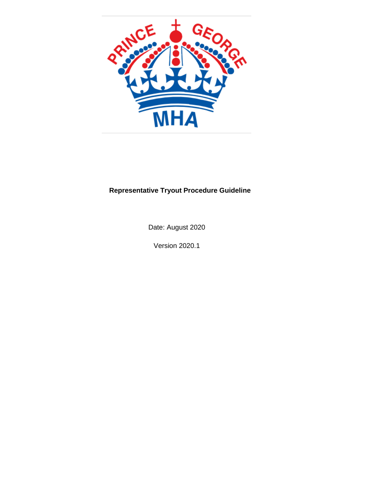

# **Representative Tryout Procedure Guideline**

Date: August 2020

Version 2020.1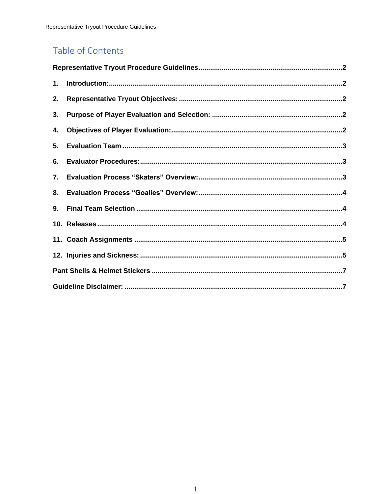# Table of Contents

| 1. |  |  |  |
|----|--|--|--|
| 2. |  |  |  |
| 3. |  |  |  |
| 4. |  |  |  |
| 5. |  |  |  |
| 6. |  |  |  |
| 7. |  |  |  |
| 8. |  |  |  |
| 9. |  |  |  |
|    |  |  |  |
|    |  |  |  |
|    |  |  |  |
|    |  |  |  |
|    |  |  |  |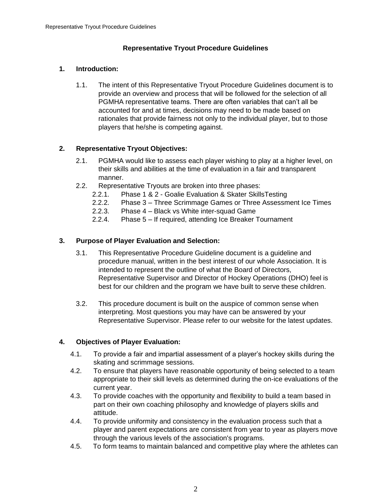# **Representative Tryout Procedure Guidelines**

## <span id="page-2-1"></span><span id="page-2-0"></span>**1. Introduction:**

1.1. The intent of this Representative Tryout Procedure Guidelines document is to provide an overview and process that will be followed for the selection of all PGMHA representative teams. There are often variables that can't all be accounted for and at times, decisions may need to be made based on rationales that provide fairness not only to the individual player, but to those players that he/she is competing against.

# <span id="page-2-2"></span>**2. Representative Tryout Objectives:**

- 2.1. PGMHA would like to assess each player wishing to play at a higher level, on their skills and abilities at the time of evaluation in a fair and transparent manner.
- 2.2. Representative Tryouts are broken into three phases:
	- 2.2.1. Phase 1 & 2 Goalie Evaluation & Skater SkillsTesting
	- 2.2.2. Phase 3 Three Scrimmage Games or Three Assessment Ice Times
	- 2.2.3. Phase 4 Black vs White inter-squad Game
	- 2.2.4. Phase 5 If required, attending Ice Breaker Tournament

### <span id="page-2-3"></span>**3. Purpose of Player Evaluation and Selection:**

- 3.1. This Representative Procedure Guideline document is a guideline and procedure manual, written in the best interest of our whole Association. It is intended to represent the outline of what the Board of Directors, Representative Supervisor and Director of Hockey Operations (DHO) feel is best for our children and the program we have built to serve these children.
- 3.2. This procedure document is built on the auspice of common sense when interpreting. Most questions you may have can be answered by your Representative Supervisor. Please refer to our website for the latest updates.

### <span id="page-2-4"></span>**4. Objectives of Player Evaluation:**

- 4.1. To provide a fair and impartial assessment of a player's hockey skills during the skating and scrimmage sessions.
- 4.2. To ensure that players have reasonable opportunity of being selected to a team appropriate to their skill levels as determined during the on-ice evaluations of the current year.
- 4.3. To provide coaches with the opportunity and flexibility to build a team based in part on their own coaching philosophy and knowledge of players skills and attitude.
- 4.4. To provide uniformity and consistency in the evaluation process such that a player and parent expectations are consistent from year to year as players move through the various levels of the association's programs.
- 4.5. To form teams to maintain balanced and competitive play where the athletes can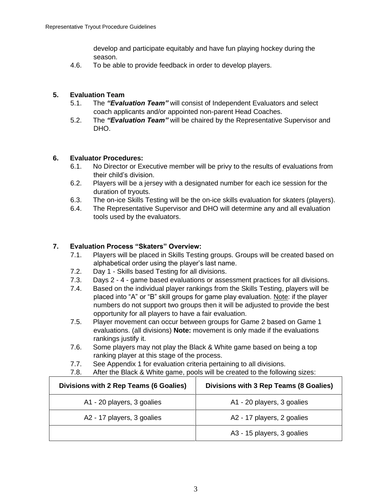develop and participate equitably and have fun playing hockey during the season.

4.6. To be able to provide feedback in order to develop players.

## <span id="page-3-0"></span>**5. Evaluation Team**

- 5.1. The *"Evaluation Team"* will consist of Independent Evaluators and select coach applicants and/or appointed non-parent Head Coaches.
- 5.2. The *"Evaluation Team"* will be chaired by the Representative Supervisor and DHO.

### <span id="page-3-1"></span>**6. Evaluator Procedures:**

- 6.1. No Director or Executive member will be privy to the results of evaluations from their child's division.
- 6.2. Players will be a jersey with a designated number for each ice session for the duration of tryouts.
- 6.3. The on-ice Skills Testing will be the on-ice skills evaluation for skaters (players).
- 6.4. The Representative Supervisor and DHO will determine any and all evaluation tools used by the evaluators.

### <span id="page-3-2"></span>**7. Evaluation Process "Skaters" Overview:**

- 7.1. Players will be placed in Skills Testing groups. Groups will be created based on alphabetical order using the player's last name.
- 7.2. Day 1 Skills based Testing for all divisions.
- 7.3. Days 2 4 game based evaluations or assessment practices for all divisions.
- 7.4. Based on the individual player rankings from the Skills Testing, players will be placed into "A" or "B" skill groups for game play evaluation. Note: if the player numbers do not support two groups then it will be adjusted to provide the best opportunity for all players to have a fair evaluation.
- 7.5. Player movement can occur between groups for Game 2 based on Game 1 evaluations. (all divisions) **Note:** movement is only made if the evaluations rankings justify it.
- 7.6. Some players may not play the Black & White game based on being a top ranking player at this stage of the process.
- 7.7. See Appendix 1 for evaluation criteria pertaining to all divisions.
- 7.8. After the Black & White game, pools will be created to the following sizes:

| Divisions with 2 Rep Teams (6 Goalies) | Divisions with 3 Rep Teams (8 Goalies) |
|----------------------------------------|----------------------------------------|
| A1 - 20 players, 3 goalies             | A1 - 20 players, 3 goalies             |
| A2 - 17 players, 3 goalies             | A2 - 17 players, 2 goalies             |
|                                        | A3 - 15 players, 3 goalies             |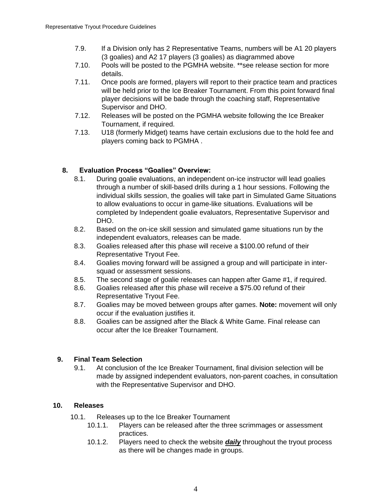- 7.9. If a Division only has 2 Representative Teams, numbers will be A1 20 players (3 goalies) and A2 17 players (3 goalies) as diagrammed above
- 7.10. Pools will be posted to the PGMHA website. \*\*see release section for more details.
- 7.11. Once pools are formed, players will report to their practice team and practices will be held prior to the Ice Breaker Tournament. From this point forward final player decisions will be bade through the coaching staff, Representative Supervisor and DHO.
- 7.12. Releases will be posted on the PGMHA website following the Ice Breaker Tournament, if required.
- 7.13. U18 (formerly Midget) teams have certain exclusions due to the hold fee and players coming back to PGMHA .

### <span id="page-4-0"></span>**8. Evaluation Process "Goalies" Overview:**

- 8.1. During goalie evaluations, an independent on-ice instructor will lead goalies through a number of skill-based drills during a 1 hour sessions. Following the individual skills session, the goalies will take part in Simulated Game Situations to allow evaluations to occur in game-like situations. Evaluations will be completed by Independent goalie evaluators, Representative Supervisor and DHO.
- 8.2. Based on the on-ice skill session and simulated game situations run by the independent evaluators, releases can be made.
- 8.3. Goalies released after this phase will receive a \$100.00 refund of their Representative Tryout Fee.
- 8.4. Goalies moving forward will be assigned a group and will participate in intersquad or assessment sessions.
- 8.5. The second stage of goalie releases can happen after Game #1, if required.
- 8.6. Goalies released after this phase will receive a \$75.00 refund of their Representative Tryout Fee.
- 8.7. Goalies may be moved between groups after games. **Note:** movement will only occur if the evaluation justifies it.
- 8.8. Goalies can be assigned after the Black & White Game. Final release can occur after the Ice Breaker Tournament.

### <span id="page-4-1"></span>**9. Final Team Selection**

9.1. At conclusion of the Ice Breaker Tournament, final division selection will be made by assigned independent evaluators, non-parent coaches, in consultation with the Representative Supervisor and DHO.

### <span id="page-4-2"></span>**10. Releases**

- 10.1. Releases up to the Ice Breaker Tournament
	- 10.1.1. Players can be released after the three scrimmages or assessment practices.
	- 10.1.2. Players need to check the website *daily* throughout the tryout process as there will be changes made in groups.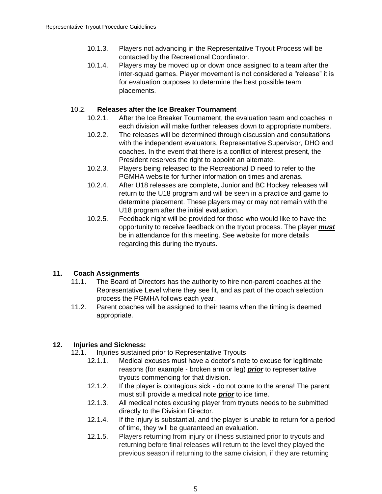- 10.1.3. Players not advancing in the Representative Tryout Process will be contacted by the Recreational Coordinator.
- 10.1.4. Players may be moved up or down once assigned to a team after the inter-squad games. Player movement is not considered a "release" it is for evaluation purposes to determine the best possible team placements.

## 10.2. **Releases after the Ice Breaker Tournament**

- 10.2.1. After the Ice Breaker Tournament, the evaluation team and coaches in each division will make further releases down to appropriate numbers.
- 10.2.2. The releases will be determined through discussion and consultations with the independent evaluators, Representative Supervisor, DHO and coaches. In the event that there is a conflict of interest present, the President reserves the right to appoint an alternate.
- 10.2.3. Players being released to the Recreational D need to refer to the PGMHA website for further information on times and arenas.
- 10.2.4. After U18 releases are complete, Junior and BC Hockey releases will return to the U18 program and will be seen in a practice and game to determine placement. These players may or may not remain with the U18 program after the initial evaluation.
- 10.2.5. Feedback night will be provided for those who would like to have the opportunity to receive feedback on the tryout process. The player *must* be in attendance for this meeting. See website for more details regarding this during the tryouts.

# <span id="page-5-0"></span>**11. Coach Assignments**

- 11.1. The Board of Directors has the authority to hire non-parent coaches at the Representative Level where they see fit, and as part of the coach selection process the PGMHA follows each year.
- 11.2. Parent coaches will be assigned to their teams when the timing is deemed appropriate.

# <span id="page-5-1"></span>**12. Injuries and Sickness:**

- 12.1. Injuries sustained prior to Representative Tryouts
	- 12.1.1. Medical excuses must have a doctor's note to excuse for legitimate reasons (for example - broken arm or leg) *prior* to representative tryouts commencing for that division.
	- 12.1.2. If the player is contagious sick do not come to the arena! The parent must still provide a medical note *prior* to ice time.
	- 12.1.3. All medical notes excusing player from tryouts needs to be submitted directly to the Division Director.
	- 12.1.4. If the injury is substantial, and the player is unable to return for a period of time, they will be guaranteed an evaluation.
	- 12.1.5. Players returning from injury or illness sustained prior to tryouts and returning before final releases will return to the level they played the previous season if returning to the same division, if they are returning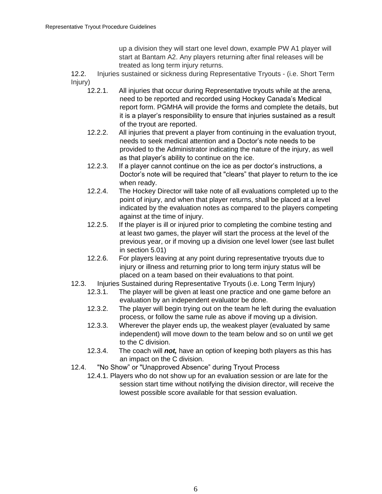up a division they will start one level down, example PW A1 player will start at Bantam A2. Any players returning after final releases will be treated as long term injury returns.

12.2. Injuries sustained or sickness during Representative Tryouts - (i.e. Short Term Injury)

- 12.2.1. All injuries that occur during Representative tryouts while at the arena, need to be reported and recorded using Hockey Canada's Medical report form. PGMHA will provide the forms and complete the details, but it is a player's responsibility to ensure that injuries sustained as a result of the tryout are reported.
- 12.2.2. All injuries that prevent a player from continuing in the evaluation tryout, needs to seek medical attention and a Doctor's note needs to be provided to the Administrator indicating the nature of the injury, as well as that player's ability to continue on the ice.
- 12.2.3. If a player cannot continue on the ice as per doctor's instructions, a Doctor's note will be required that "clears" that player to return to the ice when ready.
- 12.2.4. The Hockey Director will take note of all evaluations completed up to the point of injury, and when that player returns, shall be placed at a level indicated by the evaluation notes as compared to the players competing against at the time of injury.
- 12.2.5. If the player is ill or injured prior to completing the combine testing and at least two games, the player will start the process at the level of the previous year, or if moving up a division one level lower (see last bullet in section 5.01)
- 12.2.6. For players leaving at any point during representative tryouts due to injury or illness and returning prior to long term injury status will be placed on a team based on their evaluations to that point.
- 12.3. Injuries Sustained during Representative Tryouts (i.e. Long Term Injury)
	- 12.3.1. The player will be given at least one practice and one game before an evaluation by an independent evaluator be done.
	- 12.3.2. The player will begin trying out on the team he left during the evaluation process, or follow the same rule as above if moving up a division.
	- 12.3.3. Wherever the player ends up, the weakest player (evaluated by same independent) will move down to the team below and so on until we get to the C division.
	- 12.3.4. The coach will *not,* have an option of keeping both players as this has an impact on the C division.
- 12.4. "No Show" or "Unapproved Absence" during Tryout Process
	- 12.4.1. Players who do not show up for an evaluation session or are late for the session start time without notifying the division director, will receive the lowest possible score available for that session evaluation.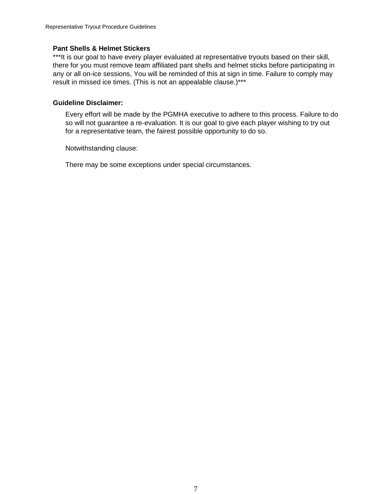### <span id="page-7-0"></span>**Pant Shells & Helmet Stickers**

\*\*\*It is our goal to have every player evaluated at representative tryouts based on their skill, there for you must remove team affiliated pant shells and helmet sticks before participating in any or all on-ice sessions, You will be reminded of this at sign in time. Failure to comply may result in missed ice times. (This is not an appealable clause.)\*\*\*

### <span id="page-7-1"></span>**Guideline Disclaimer:**

Every effort will be made by the PGMHA executive to adhere to this process. Failure to do so will not guarantee a re-evaluation. It is our goal to give each player wishing to try out for a representative team, the fairest possible opportunity to do so.

Notwithstanding clause:

There may be some exceptions under special circumstances.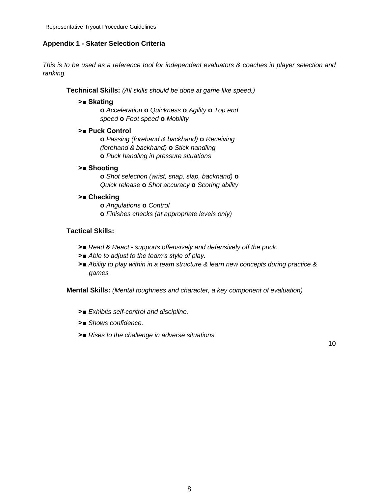### **Appendix 1 - Skater Selection Criteria**

*This is to be used as a reference tool for independent evaluators & coaches in player selection and ranking.*

**Technical Skills:** *(All skills should be done at game like speed.)*

#### **>■ Skating**

**o** *Acceleration* **o** *Quickness* **o** *Agility* **o** *Top end speed* **o** *Foot speed* **o** *Mobility*

#### **>■ Puck Control**

**o** *Passing (forehand & backhand)* **o** *Receiving (forehand & backhand)* **o** *Stick handling* **o** *Puck handling in pressure situations*

### **>■ Shooting**

**o** *Shot selection (wrist, snap, slap, backhand)* **o**  *Quick release* **o** *Shot accuracy* **o** *Scoring ability*

### **>■ Checking**

**o** *Angulations* **o** *Control* **o** *Finishes checks (at appropriate levels only)*

### **Tactical Skills:**

- **>■** *Read & React - supports offensively and defensively off the puck.*
- **>■** *Able to adjust to the team's style of play.*
- **>■** *Ability to play within in a team structure & learn new concepts during practice & games*

**Mental Skills:** *(Mental toughness and character, a key component of evaluation)*

- **>■** *Exhibits self-control and discipline.*
- **>■** *Shows confidence.*
- **>■** *Rises to the challenge in adverse situations.*